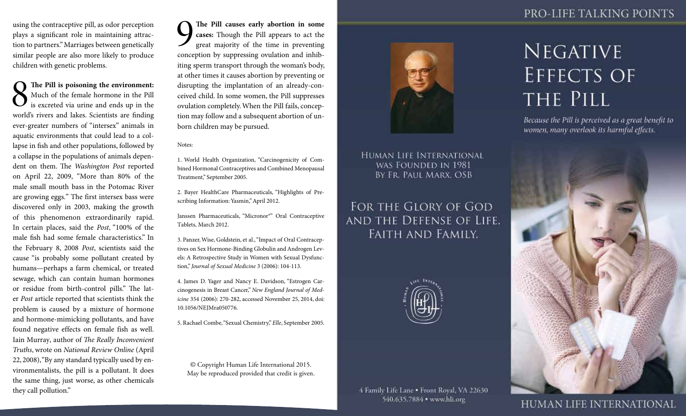## PRO-LIFE TALKING POINTS

using the contraceptive pill, as odor perception plays a significant role in maintaining attraction to partners." Marriages between genetically similar people are also more likely to produce children with genetic problems.

**8** The Pill is poisoning the environment:<br>
In Much of the female hormone in the Pill<br>
is excreted via urine and ends up in the<br>
world's rivers and lakes Scientists are finding Much of the female hormone in the Pill is excreted via urine and ends up in the world's rivers and lakes. Scientists are finding ever-greater numbers of "intersex" animals in aquatic environments that could lead to a collapse in fish and other populations, followed by a collapse in the populations of animals dependent on them. The *Washington Post* reported on April 22, 2009, "More than 80% of the male small mouth bass in the Potomac River are growing eggs." The first intersex bass were discovered only in 2003, making the growth of this phenomenon extraordinarily rapid. In certain places, said the *Post*, "100% of the male fish had some female characteristics." In the February 8, 2008 *Post*, scientists said the cause "is probably some pollutant created by humans—perhaps a farm chemical, or treated sewage, which can contain human hormones or residue from birth-control pills." The later *Post* article reported that scientists think the problem is caused by a mixture of hormone and hormone-mimicking pollutants, and have found negative effects on female fish as well. Iain Murray, author of *The Really Inconvenient Truths*, wrote on *National Review Online* (April 22, 2008), "By any standard typically used by environmentalists, the pill is a pollutant. It does the same thing, just worse, as other chemicals they call pollution."

**19 The Pill causes early abortion in some cases:** Though the Pill appears to act the great majority of the time in preventing concention by suppressing ovulation and inhib**cases:** Though the Pill appears to act the great majority of the time in preventing conception by suppressing ovulation and inhibiting sperm transport through the woman's body, at other times it causes abortion by preventing or disrupting the implantation of an already-conceived child. In some women, the Pill suppresses ovulation completely. When the Pill fails, conception may follow and a subsequent abortion of unborn children may be pursued.

Notes:

1. World Health Organization, "Carcinogenicity of Combined Hormonal Contraceptives and Combined Menopausal Treatment," September 2005.

2. Bayer HealthCare Pharmaceuticals, "Highlights of Prescribing Information: Yasmin," April 2012.

Janssen Pharmaceuticals, "Micronor®" Oral Contraceptive Tablets, March 2012.

3. Panzer, Wise, Goldstein, et al., "Impact of Oral Contraceptives on Sex Hormone-Binding Globulin and Androgen Levels: A Retrospective Study in Women with Sexual Dysfunction," *Journal of Sexual Medicine* 3 (2006): 104-113.

4. James D. Yager and Nancy E. Davidson, "Estrogen Carcinogenesis in Breast Cancer," *New England Journal of Medicine* 354 (2006): 270-282, accessed November 25, 2014, doi: 10.1056/NEJMra050776.

5. Rachael Combe, "Sexual Chemistry," *Elle*, September 2005.

© Copyright Human Life International 2015. May be reproduced provided that credit is given.



HUMAN LIFE INTERNATIONAL WAS FOUNDED IN 1981 BY FR. PAUL MARX. OSB

FOR THE GLORY OF GOD AND THE DEFENSE OF LIFE. **FAITH AND FAMILY.** 



4 Family Life Lane . Front Royal, VA 22630 540.635.7884 · www.hli.org

## **NEGATIVE EFFECTS OF** THE PILL

Because the Pill is perceived as a great benefit to women, many overlook its harmful effects.



**HUMAN LIFE INTERNATIONAL**